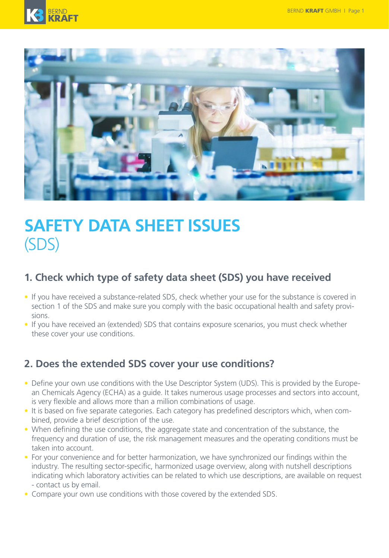



# **SAFETY DATA SHEET ISSUES** (SDS)

# **1. Check which type of safety data sheet (SDS) you have received**

- If you have received a substance-related SDS, check whether your use for the substance is covered in section 1 of the SDS and make sure you comply with the basic occupational health and safety provisions.
- If you have received an (extended) SDS that contains exposure scenarios, you must check whether these cover your use conditions.

## **2. Does the extended SDS cover your use conditions?**

- Define your own use conditions with the Use Descriptor System (UDS). This is provided by the European Chemicals Agency (ECHA) as a guide. It takes numerous usage processes and sectors into account, is very flexible and allows more than a million combinations of usage.
- It is based on five separate categories. Each category has predefined descriptors which, when combined, provide a brief description of the use.
- When defining the use conditions, the aggregate state and concentration of the substance, the frequency and duration of use, the risk management measures and the operating conditions must be taken into account.
- For your convenience and for better harmonization, we have synchronized our findings within the industry. The resulting sector-specific, harmonized usage overview, along with nutshell descriptions indicating which laboratory activities can be related to which use descriptions, are available on request - contact us by email.
- Compare your own use conditions with those covered by the extended SDS.